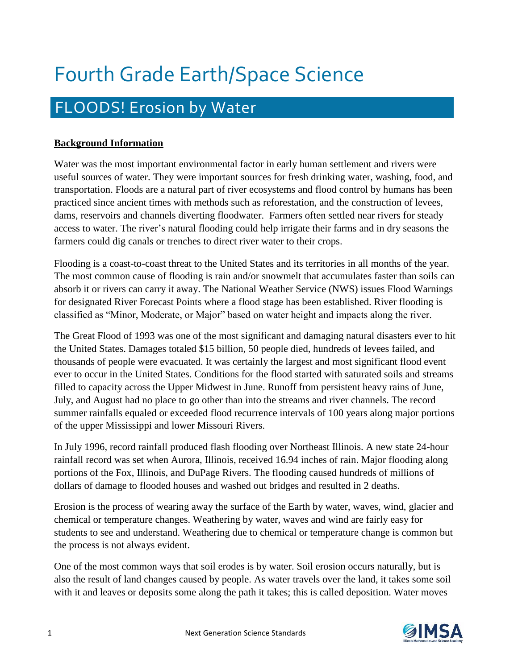# Fourth Grade Earth/Space Science

# FLOODS! Erosion by Water

# **Background Information**

Water was the most important environmental factor in early human settlement and rivers were useful sources of water. They were important sources for fresh drinking water, washing, food, and transportation. Floods are a natural part of river ecosystems and flood control by humans has been practiced since ancient times with methods such as reforestation, and the construction of levees, dams, reservoirs and channels diverting floodwater. Farmers often settled near rivers for steady access to water. The river's natural flooding could help irrigate their farms and in dry seasons the farmers could dig canals or trenches to direct river water to their crops.

Flooding is a coast-to-coast threat to the United States and its territories in all months of the year. The most common cause of flooding is rain and/or snowmelt that accumulates faster than soils can absorb it or rivers can carry it away. The National Weather Service (NWS) issues Flood Warnings for designated River Forecast Points where a flood stage has been established. River flooding is classified as "Minor, Moderate, or Major" based on water height and impacts along the river.

The Great Flood of 1993 was one of the most significant and damaging natural disasters ever to hit the United States. Damages totaled \$15 billion, 50 people died, hundreds of levees failed, and thousands of people were evacuated. It was certainly the largest and most significant flood event ever to occur in the United States. Conditions for the flood started with saturated soils and streams filled to capacity across the Upper Midwest in June. Runoff from persistent heavy rains of June, July, and August had no place to go other than into the streams and river channels. The record summer rainfalls equaled or exceeded flood recurrence intervals of 100 years along major portions of the upper Mississippi and lower Missouri Rivers.

In July 1996, record rainfall produced flash flooding over Northeast Illinois. A new state 24-hour rainfall record was set when Aurora, Illinois, received 16.94 inches of rain. Major flooding along portions of the Fox, Illinois, and DuPage Rivers. The flooding caused hundreds of millions of dollars of damage to flooded houses and washed out bridges and resulted in 2 deaths.

Erosion is the process of wearing away the surface of the Earth by water, waves, wind, glacier and chemical or temperature changes. Weathering by water, waves and wind are fairly easy for students to see and understand. Weathering due to chemical or temperature change is common but the process is not always evident.

One of the most common ways that soil erodes is by water. Soil erosion occurs naturally, but is also the result of land changes caused by people. As water travels over the land, it takes some soil with it and leaves or deposits some along the path it takes; this is called deposition. Water moves

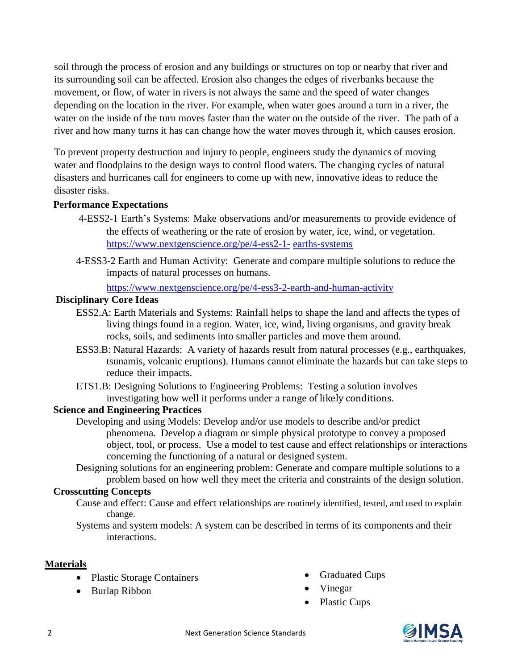soil through the process of erosion and any buildings or structures on top or nearby that river and its surrounding soil can be affected. Erosion also changes the edges of riverbanks because the movement, or flow, of water in rivers is not always the same and the speed of water changes depending on the location in the river. For example, when water goes around a turn in a river, the water on the inside of the turn moves faster than the water on the outside of the river. The path of a river and how many turns it has can change how the water moves through it, which causes erosion.

To prevent property destruction and injury to people, engineers study the dynamics of moving water and floodplains to the design ways to control flood waters. The changing cycles of natural disasters and hurricanes call for engineers to come up with new, innovative ideas to reduce the disaster risks.

### **Performance Expectations**

- 4-ESS2-1 Earth's Systems: Make observations and/or measurements to provide evidence of the effects of weathering or the rate of erosion by water, ice, wind, or vegetation. [https://www.nextgenscience.org/pe/4-ess2-1-](https://www.nextgenscience.org/pe/4-ess2-1-earths-systems) [earths-systems](https://www.nextgenscience.org/pe/4-ess2-1-earths-systems)
- 4-ESS3-2 Earth and Human Activity: Generate and compare multiple solutions to reduce the impacts of natural processes on humans.

<https://www.nextgenscience.org/pe/4-ess3-2-earth-and-human-activity>

### **Disciplinary Core Ideas**

- ESS2.A: Earth Materials and Systems: Rainfall helps to shape the land and affects the types of living things found in a region. Water, ice, wind, living organisms, and gravity break rocks, soils, and sediments into smaller particles and move them around.
- ESS3.B: Natural Hazards: A variety of hazards result from natural processes (e.g., earthquakes, tsunamis, volcanic eruptions). Humans cannot eliminate the hazards but can take steps to reduce their impacts.
- ETS1.B: Designing Solutions to Engineering Problems: Testing a solution involves investigating how well it performs under a range of likely conditions.

# **Science and Engineering Practices**

Developing and using Models: Develop and/or use models to describe and/or predict phenomena. Develop a diagram or simple physical prototype to convey a proposed object, tool, or process. Use a model to test cause and effect relationships or interactions concerning the functioning of a natural or designed system.

Designing solutions for an engineering problem: Generate and compare multiple solutions to a problem based on how well they meet the criteria and constraints of the design solution.

# **Crosscutting Concepts**

Cause and effect: Cause and effect relationships are routinely identified, tested, and used to explain change.

Systems and system models: A system can be described in terms of its components and their interactions.

# **Materials**

- Plastic Storage Containers
- Burlap Ribbon
- Graduated Cups
- Vinegar
- Plastic Cups

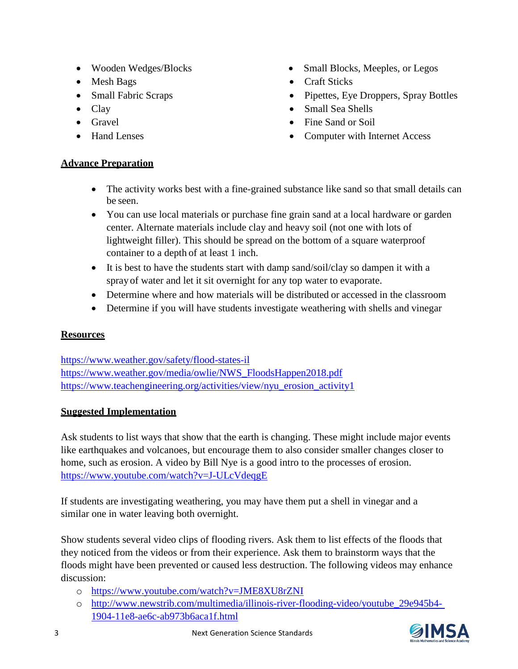- Wooden Wedges/Blocks
- Mesh Bags
- Small Fabric Scraps
- Clay
- Gravel
- Hand Lenses

# • Small Blocks, Meeples, or Legos

- Craft Sticks
- Pipettes, Eye Droppers, Spray Bottles
- Small Sea Shells
- Fine Sand or Soil
- Computer with Internet Access

# **Advance Preparation**

- The activity works best with a fine-grained substance like sand so that small details can be seen.
- You can use local materials or purchase fine grain sand at a local hardware or garden center. Alternate materials include clay and heavy soil (not one with lots of lightweight filler). This should be spread on the bottom of a square waterproof container to a depth of at least 1 inch.
- It is best to have the students start with damp sand/soil/clay so dampen it with a spray of water and let it sit overnight for any top water to evaporate.
- Determine where and how materials will be distributed or accessed in the classroom
- Determine if you will have students investigate weathering with shells and vinegar

# **Resources**

<https://www.weather.gov/safety/flood-states-il> [https://www.weather.gov/media/owlie/NWS\\_FloodsHappen2018.pdf](https://www.weather.gov/media/owlie/NWS_FloodsHappen2018.pdf) [https://www.teachengineering.org/activities/view/nyu\\_erosion\\_activity1](https://www.teachengineering.org/activities/view/nyu_erosion_activity1)

# **Suggested Implementation**

Ask students to list ways that show that the earth is changing. These might include major events like earthquakes and volcanoes, but encourage them to also consider smaller changes closer to home, such as erosion. A video by Bill Nye is a good intro to the processes of erosion. <https://www.youtube.com/watch?v=J-ULcVdeqgE>

If students are investigating weathering, you may have them put a shell in vinegar and a similar one in water leaving both overnight.

Show students several video clips of flooding rivers. Ask them to list effects of the floods that they noticed from the videos or from their experience. Ask them to brainstorm ways that the floods might have been prevented or caused less destruction. The following videos may enhance discussion:

- o <https://www.youtube.com/watch?v=JME8XU8rZNI>
- o [http://www.newstrib.com/multimedia/illinois-river-flooding-video/youtube\\_29e945b4-](http://www.newstrib.com/multimedia/illinois-river-flooding-video/youtube_29e945b4-1904-11e8-ae6c-ab973b6aca1f.html) [1904-11e8-ae6c-ab973b6aca1f.html](http://www.newstrib.com/multimedia/illinois-river-flooding-video/youtube_29e945b4-1904-11e8-ae6c-ab973b6aca1f.html)

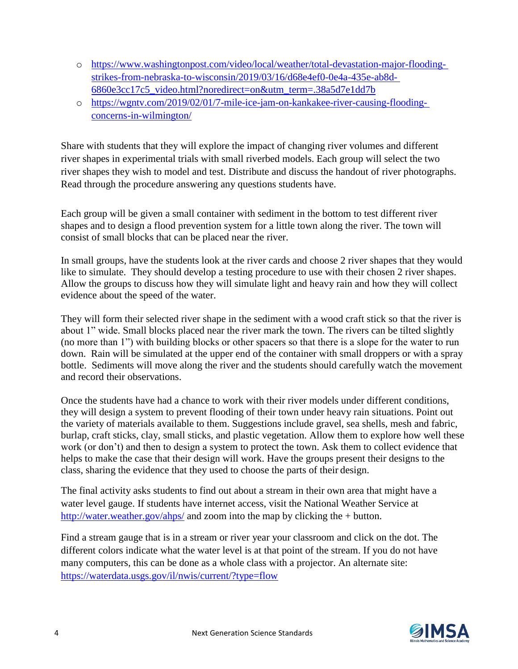- o [https://www.washingtonpost.com/video/local/weather/total-devastation-major-flooding](https://www.washingtonpost.com/video/local/weather/total-devastation-major-flooding-strikes-from-nebraska-to-wisconsin/2019/03/16/d68e4ef0-0e4a-435e-ab8d-6860e3cc17c5_video.html?noredirect=on&utm_term=.38a5d7e1dd7b)[strikes-from-nebraska-to-wisconsin/2019/03/16/d68e4ef0-0e4a-435e-ab8d-](https://www.washingtonpost.com/video/local/weather/total-devastation-major-flooding-strikes-from-nebraska-to-wisconsin/2019/03/16/d68e4ef0-0e4a-435e-ab8d-6860e3cc17c5_video.html?noredirect=on&utm_term=.38a5d7e1dd7b)[6860e3cc17c5\\_video.html?noredirect=on&utm\\_term=.38a5d7e1dd7b](https://www.washingtonpost.com/video/local/weather/total-devastation-major-flooding-strikes-from-nebraska-to-wisconsin/2019/03/16/d68e4ef0-0e4a-435e-ab8d-6860e3cc17c5_video.html?noredirect=on&utm_term=.38a5d7e1dd7b)
- o [https://wgntv.com/2019/02/01/7-mile-ice-jam-on-kankakee-river-causing-flooding](https://wgntv.com/2019/02/01/7-mile-ice-jam-on-kankakee-river-causing-flooding-concerns-in-wilmington/)[concerns-in-wilmington/](https://wgntv.com/2019/02/01/7-mile-ice-jam-on-kankakee-river-causing-flooding-concerns-in-wilmington/)

Share with students that they will explore the impact of changing river volumes and different river shapes in experimental trials with small riverbed models. Each group will select the two river shapes they wish to model and test. Distribute and discuss the handout of river photographs. Read through the procedure answering any questions students have.

Each group will be given a small container with sediment in the bottom to test different river shapes and to design a flood prevention system for a little town along the river. The town will consist of small blocks that can be placed near the river.

In small groups, have the students look at the river cards and choose 2 river shapes that they would like to simulate. They should develop a testing procedure to use with their chosen 2 river shapes. Allow the groups to discuss how they will simulate light and heavy rain and how they will collect evidence about the speed of the water.

They will form their selected river shape in the sediment with a wood craft stick so that the river is about 1" wide. Small blocks placed near the river mark the town. The rivers can be tilted slightly (no more than 1") with building blocks or other spacers so that there is a slope for the water to run down. Rain will be simulated at the upper end of the container with small droppers or with a spray bottle. Sediments will move along the river and the students should carefully watch the movement and record their observations.

Once the students have had a chance to work with their river models under different conditions, they will design a system to prevent flooding of their town under heavy rain situations. Point out the variety of materials available to them. Suggestions include gravel, sea shells, mesh and fabric, burlap, craft sticks, clay, small sticks, and plastic vegetation. Allow them to explore how well these work (or don't) and then to design a system to protect the town. Ask them to collect evidence that helps to make the case that their design will work. Have the groups present their designs to the class, sharing the evidence that they used to choose the parts of their design.

The final activity asks students to find out about a stream in their own area that might have a water level gauge. If students have internet access, visit the National Weather Service at <http://water.weather.gov/ahps/> and zoom into the map by clicking the + button.

Find a stream gauge that is in a stream or river year your classroom and click on the dot. The different colors indicate what the water level is at that point of the stream. If you do not have many computers, this can be done as a whole class with a projector. An alternate site: <https://waterdata.usgs.gov/il/nwis/current/?type=flow>

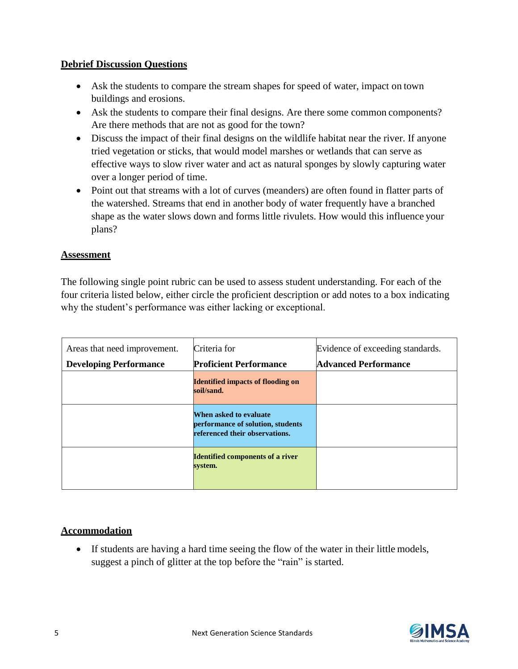### **Debrief Discussion Questions**

- Ask the students to compare the stream shapes for speed of water, impact on town buildings and erosions.
- Ask the students to compare their final designs. Are there some common components? Are there methods that are not as good for the town?
- Discuss the impact of their final designs on the wildlife habitat near the river. If anyone tried vegetation or sticks, that would model marshes or wetlands that can serve as effective ways to slow river water and act as natural sponges by slowly capturing water over a longer period of time.
- Point out that streams with a lot of curves (meanders) are often found in flatter parts of the watershed. Streams that end in another body of water frequently have a branched shape as the water slows down and forms little rivulets. How would this influence your plans?

### **Assessment**

The following single point rubric can be used to assess student understanding. For each of the four criteria listed below, either circle the proficient description or add notes to a box indicating why the student's performance was either lacking or exceptional.

| Areas that need improvement.<br><b>Developing Performance</b> | Criteria for<br><b>Proficient Performance</b>                                                 | Evidence of exceeding standards.<br><b>Advanced Performance</b> |
|---------------------------------------------------------------|-----------------------------------------------------------------------------------------------|-----------------------------------------------------------------|
|                                                               | <b>Identified impacts of flooding on</b><br>soil/sand.                                        |                                                                 |
|                                                               | When asked to evaluate<br>performance of solution, students<br>referenced their observations. |                                                                 |
|                                                               | <b>Identified components of a river</b><br>system.                                            |                                                                 |

# **Accommodation**

 If students are having a hard time seeing the flow of the water in their little models, suggest a pinch of glitter at the top before the "rain" is started.

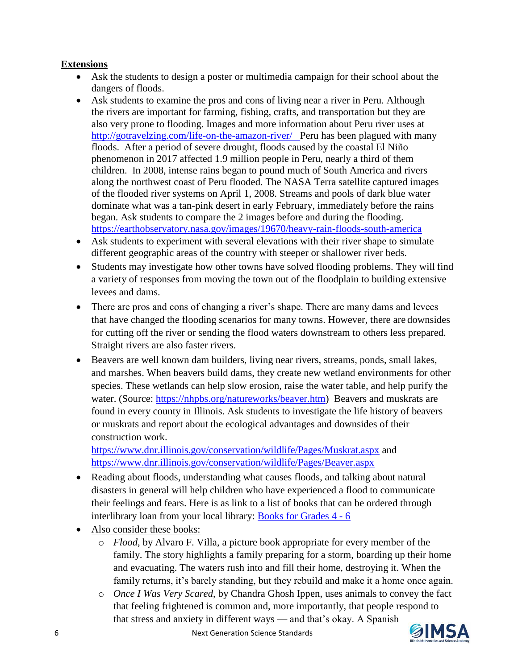# **Extensions**

- Ask the students to design a poster or multimedia campaign for their school about the dangers of floods.
- Ask students to examine the pros and cons of living near a river in Peru. Although the rivers are important for farming, fishing, crafts, and transportation but they are also very prone to flooding. Images and more information about Peru river uses at <http://gotravelzing.com/life-on-the-amazon-river/>Peru has been plagued with many floods. After a period of severe drought, floods caused by the coastal El Niño phenomenon in 2017 affected 1.9 million people in Peru, nearly a third of them children. In 2008, intense rains began to pound much of South America and rivers along the northwest coast of Peru flooded. The NASA Terra satellite captured images of the flooded river systems on April 1, 2008. Streams and pools of dark blue water dominate what was a tan-pink desert in early February, immediately before the rains began. Ask students to compare the 2 images before and during the flooding. [https://earthobservatory.nasa.gov/images/19670/heavy-rain-floods-south-americ](https://earthobservatory.nasa.gov/images/19670/heavy-rain-floods-south-ameri)a
- Ask students to experiment with several elevations with their river shape to simulate different geographic areas of the country with steeper or shallower river beds.
- Students may investigate how other towns have solved flooding problems. They will find a variety of responses from moving the town out of the floodplain to building extensive levees and dams.
- There are pros and cons of changing a river's shape. There are many dams and levees that have changed the flooding scenarios for many towns. However, there are downsides for cutting off the river or sending the flood waters downstream to others less prepared. Straight rivers are also faster rivers.
- Beavers are well known dam builders, living near rivers, streams, ponds, small lakes, and marshes. When beavers build dams, they create new wetland environments for other species. These wetlands can help slow erosion, raise the water table, and help purify the water. (Source: [https://nhpbs.org/natureworks/beaver.htm\)](https://nhpbs.org/natureworks/beaver.htm) Beavers and muskrats are found in every county in Illinois. Ask students to investigate the life history of beavers or muskrats and report about the ecological advantages and downsides of their construction work.

<https://www.dnr.illinois.gov/conservation/wildlife/Pages/Muskrat.aspx> and <https://www.dnr.illinois.gov/conservation/wildlife/Pages/Beaver.aspx>

- Reading about floods, understanding what causes floods, and talking about natural disasters in general will help children who have experienced a flood to communicate their feelings and fears. Here is as link to a list of books that can be ordered through interlibrary loan from your local library: [Books for Grades 4 -](https://extension.illinois.edu/disaster/teacher/bib_4-6.cfm) 6
- Also consider these books:
	- o *Flood*, by Alvaro F. Villa, a picture book appropriate for every member of the family. The story highlights a family preparing for a storm, boarding up their home and evacuating. The waters rush into and fill their home, destroying it. When the family returns, it's barely standing, but they rebuild and make it a home once again.
	- o *Once I Was Very Scared*, by Chandra Ghosh Ippen, uses animals to convey the fact that feeling frightened is common and, more importantly, that people respond to that stress and anxiety in different ways — and that's okay. A Spanish